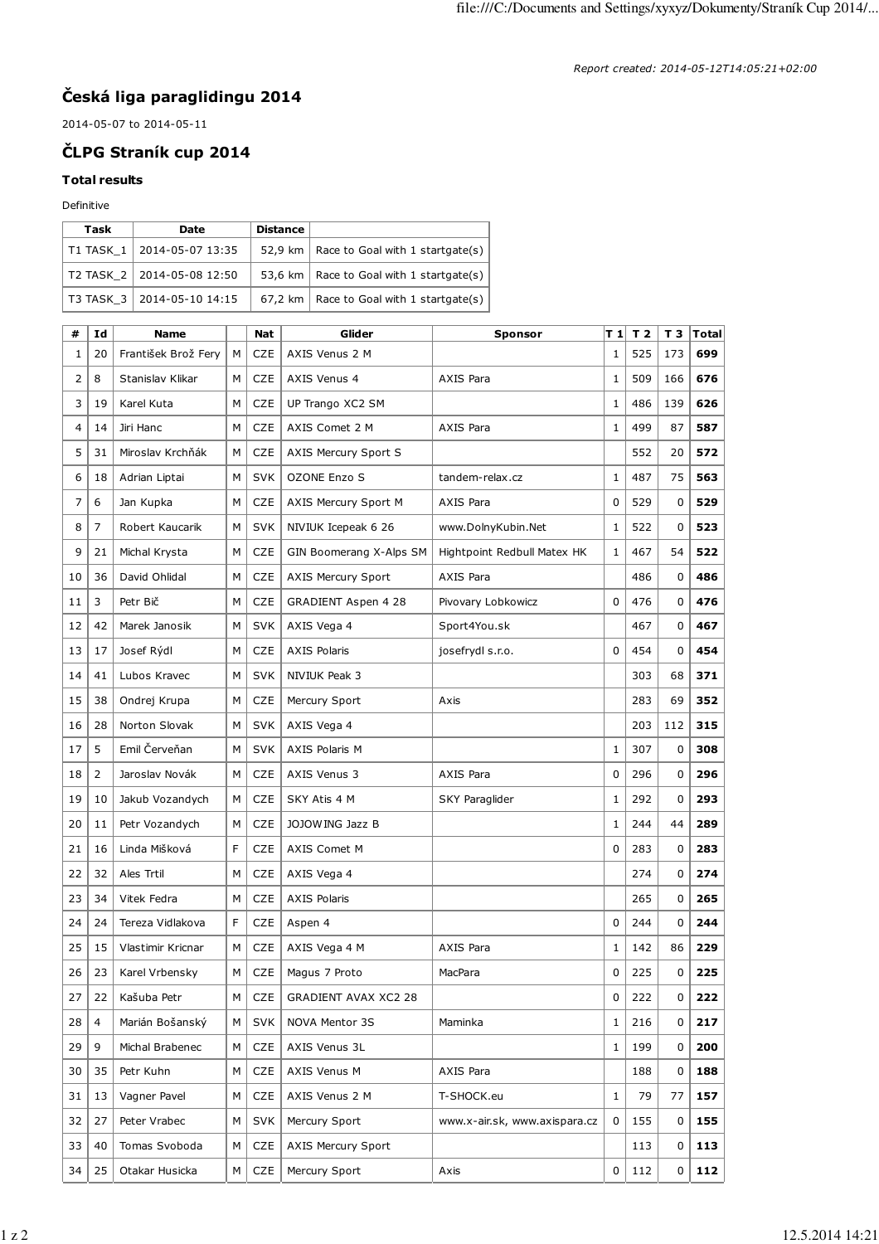## **Česká liga paraglidingu 2014**

2014-05-07 to 2014-05-11

## **ČLPG Straník cup 2014**

## **Total results**

## Definitive

| Task | Date                         | <b>Distance</b> |                                            |
|------|------------------------------|-----------------|--------------------------------------------|
|      | T1 TASK 1   2014-05-07 13:35 |                 | 52,9 km   Race to Goal with 1 startgate(s) |
|      | T2 TASK 2   2014-05-08 12:50 |                 | 53,6 km   Race to Goal with 1 startgate(s) |
|      | T3 TASK 3   2014-05-10 14:15 |                 | 67,2 km   Race to Goal with 1 startgate(s) |

| #  | Id             | <b>Name</b>         |   | <b>Nat</b> | Glider                      | <b>Sponsor</b>                | T 1          | T <sub>2</sub> | т з | Total |
|----|----------------|---------------------|---|------------|-----------------------------|-------------------------------|--------------|----------------|-----|-------|
| 1  | 20             | František Brož Fery | м | <b>CZE</b> | AXIS Venus 2 M              |                               | 1            | 525            | 173 | 699   |
| 2  | 8              | Stanislav Klikar    | M | <b>CZE</b> | AXIS Venus 4                | AXIS Para                     | 1            | 509            | 166 | 676   |
| 3  | 19             | Karel Kuta          | M | <b>CZE</b> | UP Trango XC2 SM            |                               | $\mathbf{1}$ | 486            | 139 | 626   |
| 4  | 14             | Jiri Hanc           | М | <b>CZE</b> | AXIS Comet 2 M              | AXIS Para                     | $\mathbf{1}$ | 499            | 87  | 587   |
| 5  | 31             | Miroslav Krchňák    | M | <b>CZE</b> | AXIS Mercury Sport S        |                               |              | 552            | 20  | 572   |
| 6  | 18             | Adrian Liptai       | м | <b>SVK</b> | <b>OZONE Enzo S</b>         | tandem-relax.cz               | 1            | 487            | 75  | 563   |
| 7  | 6              | Jan Kupka           | м | <b>CZE</b> | AXIS Mercury Sport M        | <b>AXIS Para</b>              | 0            | 529            | 0   | 529   |
| 8  | $\overline{7}$ | Robert Kaucarik     | M | <b>SVK</b> | NIVIUK Icepeak 6 26         | www.DolnyKubin.Net            | $\mathbf{1}$ | 522            | 0   | 523   |
| 9  | 21             | Michal Krysta       | М | <b>CZE</b> | GIN Boomerang X-Alps SM     | Hightpoint Redbull Matex HK   | $\mathbf 1$  | 467            | 54  | 522   |
| 10 | 36             | David Ohlidal       | M | <b>CZE</b> | <b>AXIS Mercury Sport</b>   | <b>AXIS Para</b>              |              | 486            | 0   | 486   |
| 11 | 3              | Petr Bič            | м | <b>CZE</b> | GRADIENT Aspen 4 28         | Pivovary Lobkowicz            | $\Omega$     | 476            | 0   | 476   |
| 12 | 42             | Marek Janosik       | M | <b>SVK</b> | AXIS Vega 4                 | Sport4You.sk                  |              | 467            | 0   | 467   |
| 13 | 17             | Josef Rýdl          | М | <b>CZE</b> | <b>AXIS Polaris</b>         | josefrydl s.r.o.              | $\Omega$     | 454            | 0   | 454   |
| 14 | 41             | Lubos Kravec        | М | <b>SVK</b> | NIVIUK Peak 3               |                               |              | 303            | 68  | 371   |
| 15 | 38             | Ondrej Krupa        | M | <b>CZE</b> | Mercury Sport               | Axis                          |              | 283            | 69  | 352   |
| 16 | 28             | Norton Slovak       | М | <b>SVK</b> | AXIS Vega 4                 |                               |              | 203            | 112 | 315   |
| 17 | 5              | Emil Červeňan       | м | <b>SVK</b> | <b>AXIS Polaris M</b>       |                               | 1            | 307            | 0   | 308   |
| 18 | 2              | Jaroslav Novák      | м | <b>CZE</b> | AXIS Venus 3                | AXIS Para                     | 0            | 296            | 0   | 296   |
| 19 | 10             | Jakub Vozandych     | M | <b>CZE</b> | SKY Atis 4 M                | SKY Paraglider                | 1            | 292            | 0   | 293   |
| 20 | 11             | Petr Vozandych      | м | <b>CZE</b> | JOJOW ING Jazz B            |                               | $\mathbf{1}$ | 244            | 44  | 289   |
| 21 | 16             | Linda Mišková       | F | <b>CZE</b> | <b>AXIS Comet M</b>         |                               | $\Omega$     | 283            | 0   | 283   |
| 22 | 32             | Ales Trtil          | М | <b>CZE</b> | AXIS Vega 4                 |                               |              | 274            | 0   | 274   |
| 23 | 34             | Vitek Fedra         | М | <b>CZE</b> | <b>AXIS Polaris</b>         |                               |              | 265            | 0   | 265   |
| 24 | 24             | Tereza Vidlakova    | F | <b>CZE</b> | Aspen 4                     |                               | 0            | 244            | 0   | 244   |
| 25 | 15             | Vlastimir Kricnar   | м | <b>CZE</b> | AXIS Vega 4 M               | <b>AXIS Para</b>              | $\mathbf{1}$ | 142            | 86  | 229   |
| 26 | 23             | Karel Vrbensky      | M | <b>CZE</b> | Magus 7 Proto               | MacPara                       | 0            | 225            | 0   | 225   |
| 27 | 22             | Kašuba Petr         | М | CZE        | <b>GRADIENT AVAX XC2 28</b> |                               | 0            | 222            | 0   | 222   |
| 28 | $\overline{4}$ | Marián Bošanský     | м | <b>SVK</b> | NOVA Mentor 3S              | Maminka                       | 1            | 216            | 0   | 217   |
| 29 | 9              | Michal Brabenec     | м | CZE        | AXIS Venus 3L               |                               | 1            | 199            | 0   | 200   |
| 30 | 35             | Petr Kuhn           | М | CZE        | AXIS Venus M                | AXIS Para                     |              | 188            | 0   | 188   |
| 31 | 13             | Vagner Pavel        | М | <b>CZE</b> | AXIS Venus 2 M              | T-SHOCK.eu                    | $\mathbf{1}$ | 79             | 77  | 157   |
| 32 | 27             | Peter Vrabec        | м | <b>SVK</b> | Mercury Sport               | www.x-air.sk, www.axispara.cz | 0            | 155            | 0   | 155   |
| 33 | 40             | Tomas Svoboda       | м | <b>CZE</b> | <b>AXIS Mercury Sport</b>   |                               |              | 113            | 0   | 113   |
| 34 | 25             | Otakar Husicka      | М | <b>CZE</b> | Mercury Sport               | Axis                          | 0            | 112            | 0   | 112   |